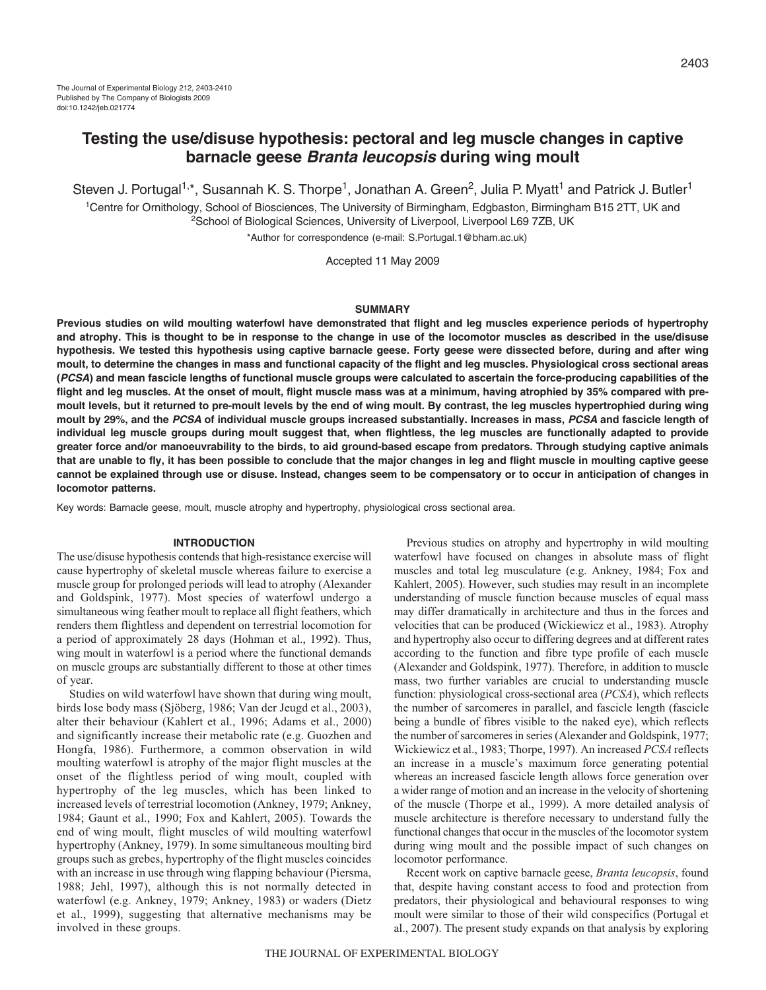Steven J. Portugal<sup>1,\*</sup>, Susannah K. S. Thorpe<sup>1</sup>, Jonathan A. Green<sup>2</sup>, Julia P. Myatt<sup>1</sup> and Patrick J. Butler<sup>1</sup>

<sup>1</sup>Centre for Ornithology, School of Biosciences, The University of Birmingham, Edgbaston, Birmingham B15 2TT, UK and <sup>2</sup>School of Biological Sciences, University of Liverpool, Liverpool L69 7ZB, UK

\*Author for correspondence (e-mail: S.Portugal.1@bham.ac.uk)

Accepted 11 May 2009

### **SUMMARY**

**Previous studies on wild moulting waterfowl have demonstrated that flight and leg muscles experience periods of hypertrophy and atrophy. This is thought to be in response to the change in use of the locomotor muscles as described in the use/disuse hypothesis. We tested this hypothesis using captive barnacle geese. Forty geese were dissected before, during and after wing moult, to determine the changes in mass and functional capacity of the flight and leg muscles. Physiological cross sectional areas (PCSA) and mean fascicle lengths of functional muscle groups were calculated to ascertain the force-producing capabilities of the flight and leg muscles. At the onset of moult, flight muscle mass was at a minimum, having atrophied by 35% compared with premoult levels, but it returned to pre-moult levels by the end of wing moult. By contrast, the leg muscles hypertrophied during wing moult by 29%, and the PCSA of individual muscle groups increased substantially. Increases in mass, PCSA and fascicle length of individual leg muscle groups during moult suggest that, when flightless, the leg muscles are functionally adapted to provide greater force and/or manoeuvrability to the birds, to aid ground-based escape from predators. Through studying captive animals that are unable to fly, it has been possible to conclude that the major changes in leg and flight muscle in moulting captive geese cannot be explained through use or disuse. Instead, changes seem to be compensatory or to occur in anticipation of changes in locomotor patterns.**

Key words: Barnacle geese, moult, muscle atrophy and hypertrophy, physiological cross sectional area.

### **INTRODUCTION**

The use/disuse hypothesis contends that high-resistance exercise will cause hypertrophy of skeletal muscle whereas failure to exercise a muscle group for prolonged periods will lead to atrophy (Alexander and Goldspink, 1977). Most species of waterfowl undergo a simultaneous wing feather moult to replace all flight feathers, which renders them flightless and dependent on terrestrial locomotion for a period of approximately 28 days (Hohman et al., 1992). Thus, wing moult in waterfowl is a period where the functional demands on muscle groups are substantially different to those at other times of year.

Studies on wild waterfowl have shown that during wing moult, birds lose body mass (Sjöberg, 1986; Van der Jeugd et al., 2003), alter their behaviour (Kahlert et al., 1996; Adams et al., 2000) and significantly increase their metabolic rate (e.g. Guozhen and Hongfa, 1986). Furthermore, a common observation in wild moulting waterfowl is atrophy of the major flight muscles at the onset of the flightless period of wing moult, coupled with hypertrophy of the leg muscles, which has been linked to increased levels of terrestrial locomotion (Ankney, 1979; Ankney, 1984; Gaunt et al., 1990; Fox and Kahlert, 2005). Towards the end of wing moult, flight muscles of wild moulting waterfowl hypertrophy (Ankney, 1979). In some simultaneous moulting bird groups such as grebes, hypertrophy of the flight muscles coincides with an increase in use through wing flapping behaviour (Piersma, 1988; Jehl, 1997), although this is not normally detected in waterfowl (e.g. Ankney, 1979; Ankney, 1983) or waders (Dietz et al., 1999), suggesting that alternative mechanisms may be involved in these groups.

Previous studies on atrophy and hypertrophy in wild moulting waterfowl have focused on changes in absolute mass of flight muscles and total leg musculature (e.g. Ankney, 1984; Fox and Kahlert, 2005). However, such studies may result in an incomplete understanding of muscle function because muscles of equal mass may differ dramatically in architecture and thus in the forces and velocities that can be produced (Wickiewicz et al., 1983). Atrophy and hypertrophy also occur to differing degrees and at different rates according to the function and fibre type profile of each muscle (Alexander and Goldspink, 1977). Therefore, in addition to muscle mass, two further variables are crucial to understanding muscle function: physiological cross-sectional area (*PCSA*), which reflects the number of sarcomeres in parallel, and fascicle length (fascicle being a bundle of fibres visible to the naked eye), which reflects the number of sarcomeres in series (Alexander and Goldspink, 1977; Wickiewicz et al., 1983; Thorpe, 1997). An increased *PCSA* reflects an increase in a muscle's maximum force generating potential whereas an increased fascicle length allows force generation over a wider range of motion and an increase in the velocity of shortening of the muscle (Thorpe et al., 1999). A more detailed analysis of muscle architecture is therefore necessary to understand fully the functional changes that occur in the muscles of the locomotor system during wing moult and the possible impact of such changes on locomotor performance.

Recent work on captive barnacle geese, *Branta leucopsis*, found that, despite having constant access to food and protection from predators, their physiological and behavioural responses to wing moult were similar to those of their wild conspecifics (Portugal et al., 2007). The present study expands on that analysis by exploring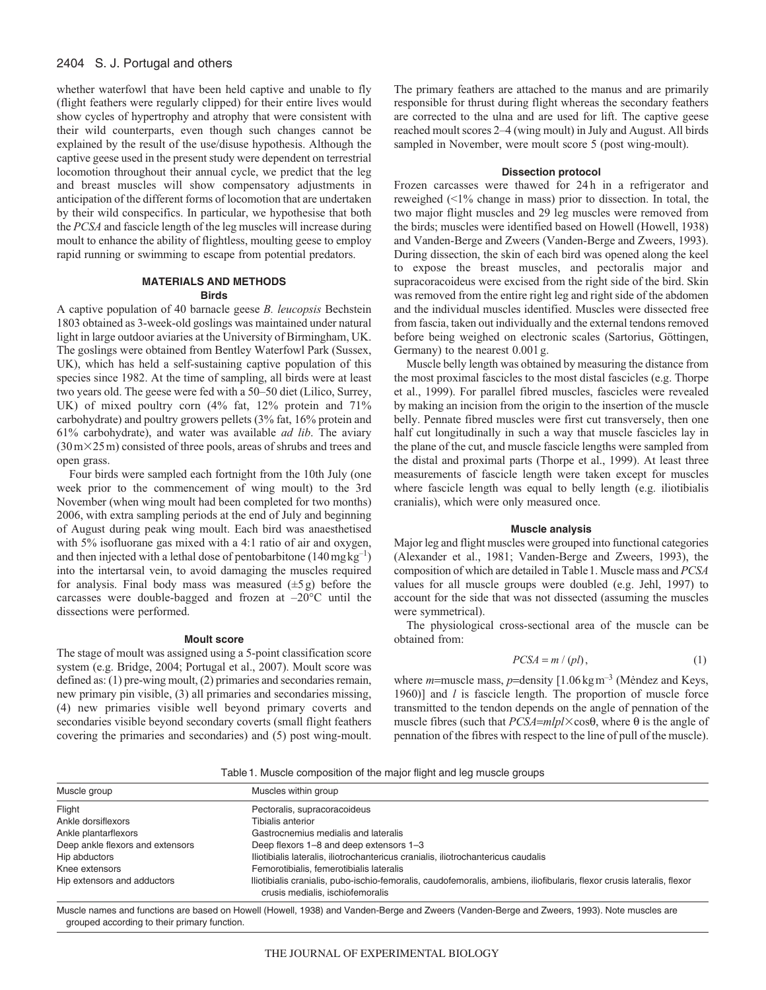# 2404 S. J. Portugal and others

whether waterfowl that have been held captive and unable to fly (flight feathers were regularly clipped) for their entire lives would show cycles of hypertrophy and atrophy that were consistent with their wild counterparts, even though such changes cannot be explained by the result of the use/disuse hypothesis. Although the captive geese used in the present study were dependent on terrestrial locomotion throughout their annual cycle, we predict that the leg and breast muscles will show compensatory adjustments in anticipation of the different forms of locomotion that are undertaken by their wild conspecifics. In particular, we hypothesise that both the *PCSA* and fascicle length of the leg muscles will increase during moult to enhance the ability of flightless, moulting geese to employ rapid running or swimming to escape from potential predators.

## **MATERIALS AND METHODS Birds**

A captive population of 40 barnacle geese *B. leucopsis* Bechstein 1803 obtained as 3-week-old goslings was maintained under natural light in large outdoor aviaries at the University of Birmingham, UK. The goslings were obtained from Bentley Waterfowl Park (Sussex, UK), which has held a self-sustaining captive population of this species since 1982. At the time of sampling, all birds were at least two years old. The geese were fed with a 50–50 diet (Lilico, Surrey, UK) of mixed poultry corn (4% fat, 12% protein and 71% carbohydrate) and poultry growers pellets (3% fat, 16% protein and 61% carbohydrate), and water was available *ad lib*. The aviary  $(30 \text{ m} \times 25 \text{ m})$  consisted of three pools, areas of shrubs and trees and open grass.

Four birds were sampled each fortnight from the 10th July (one week prior to the commencement of wing moult) to the 3rd November (when wing moult had been completed for two months) 2006, with extra sampling periods at the end of July and beginning of August during peak wing moult. Each bird was anaesthetised with 5% isofluorane gas mixed with a 4:1 ratio of air and oxygen, and then injected with a lethal dose of pentobarbitone  $(140 \text{ mg kg}^{-1})$ into the intertarsal vein, to avoid damaging the muscles required for analysis. Final body mass was measured  $(\pm 5g)$  before the carcasses were double-bagged and frozen at –20°C until the dissections were performed.

#### **Moult score**

The stage of moult was assigned using a 5-point classification score system (e.g. Bridge, 2004; Portugal et al., 2007). Moult score was defined as: (1) pre-wing moult, (2) primaries and secondaries remain, new primary pin visible, (3) all primaries and secondaries missing, (4) new primaries visible well beyond primary coverts and secondaries visible beyond secondary coverts (small flight feathers covering the primaries and secondaries) and (5) post wing-moult. The primary feathers are attached to the manus and are primarily responsible for thrust during flight whereas the secondary feathers are corrected to the ulna and are used for lift. The captive geese reached moult scores 2–4 (wing moult) in July and August. All birds sampled in November, were moult score 5 (post wing-moult).

### **Dissection protocol**

Frozen carcasses were thawed for 24h in a refrigerator and reweighed (<1% change in mass) prior to dissection. In total, the two major flight muscles and 29 leg muscles were removed from the birds; muscles were identified based on Howell (Howell, 1938) and Vanden-Berge and Zweers (Vanden-Berge and Zweers, 1993). During dissection, the skin of each bird was opened along the keel to expose the breast muscles, and pectoralis major and supracoracoideus were excised from the right side of the bird. Skin was removed from the entire right leg and right side of the abdomen and the individual muscles identified. Muscles were dissected free from fascia, taken out individually and the external tendons removed before being weighed on electronic scales (Sartorius, Göttingen, Germany) to the nearest 0.001g.

Muscle belly length was obtained by measuring the distance from the most proximal fascicles to the most distal fascicles (e.g. Thorpe et al., 1999). For parallel fibred muscles, fascicles were revealed by making an incision from the origin to the insertion of the muscle belly. Pennate fibred muscles were first cut transversely, then one half cut longitudinally in such a way that muscle fascicles lay in the plane of the cut, and muscle fascicle lengths were sampled from the distal and proximal parts (Thorpe et al., 1999). At least three measurements of fascicle length were taken except for muscles where fascicle length was equal to belly length (e.g. iliotibialis cranialis), which were only measured once.

## **Muscle analysis**

Major leg and flight muscles were grouped into functional categories (Alexander et al., 1981; Vanden-Berge and Zweers, 1993), the composition of which are detailed in Table1. Muscle mass and *PCSA* values for all muscle groups were doubled (e.g. Jehl, 1997) to account for the side that was not dissected (assuming the muscles were symmetrical).

The physiological cross-sectional area of the muscle can be obtained from:

$$
PCSA = m / (pl), \tag{1}
$$

where *m*=muscle mass, *p*=density [1.06 kg m<sup>-3</sup> (Mendez and Keys, 1960)] and *l* is fascicle length. The proportion of muscle force transmitted to the tendon depends on the angle of pennation of the muscle fibres (such that  $\overrightarrow{PCSA}$ = $mlp$ l×cos $\theta$ , where  $\theta$  is the angle of pennation of the fibres with respect to the line of pull of the muscle).

Table1. Muscle composition of the major flight and leg muscle groups

| Muscle group                     | Muscles within group                                                                                                                                       |
|----------------------------------|------------------------------------------------------------------------------------------------------------------------------------------------------------|
| Flight                           | Pectoralis, supracoracoideus                                                                                                                               |
| Ankle dorsiflexors               | Tibialis anterior                                                                                                                                          |
| Ankle plantarflexors             | Gastrocnemius medialis and lateralis                                                                                                                       |
| Deep ankle flexors and extensors | Deep flexors 1–8 and deep extensors 1–3                                                                                                                    |
| Hip abductors                    | Iliotibialis lateralis, iliotrochantericus cranialis, iliotrochantericus caudalis                                                                          |
| Knee extensors                   | Femorotibialis, femerotibialis lateralis                                                                                                                   |
| Hip extensors and adductors      | lliotibialis cranialis, pubo-ischio-femoralis, caudofemoralis, ambiens, iliofibularis, flexor crusis lateralis, flexor<br>crusis medialis, ischiofemoralis |

Muscle names and functions are based on Howell (Howell, 1938) and Vanden-Berge and Zweers (Vanden-Berge and Zweers, 1993). Note muscles are grouped according to their primary function.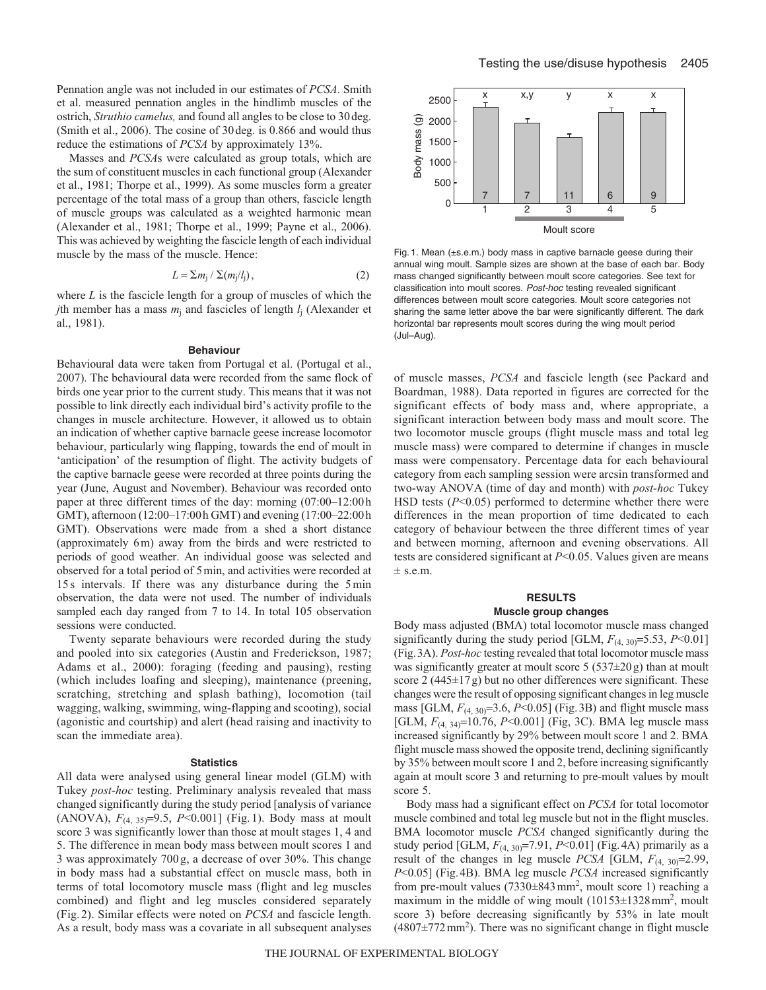Pennation angle was not included in our estimates of *PCSA*. Smith et al. measured pennation angles in the hindlimb muscles of the ostrich, *Struthio camelus,* and found all angles to be close to 30deg. (Smith et al., 2006). The cosine of 30deg. is 0.866 and would thus reduce the estimations of *PCSA* by approximately 13%.

Masses and *PCSA*s were calculated as group totals, which are the sum of constituent muscles in each functional group (Alexander et al., 1981; Thorpe et al., 1999). As some muscles form a greater percentage of the total mass of a group than others, fascicle length of muscle groups was calculated as a weighted harmonic mean (Alexander et al., 1981; Thorpe et al., 1999; Payne et al., 2006). This was achieved by weighting the fascicle length of each individual muscle by the mass of the muscle. Hence:

$$
L = \sum m_j / \sum (m_j / l_j), \qquad (2)
$$

where *L* is the fascicle length for a group of muscles of which the *j*th member has a mass  $m_i$  and fascicles of length  $l_i$  (Alexander et al., 1981).

#### **Behaviour**

Behavioural data were taken from Portugal et al. (Portugal et al., 2007). The behavioural data were recorded from the same flock of birds one year prior to the current study. This means that it was not possible to link directly each individual bird's activity profile to the changes in muscle architecture. However, it allowed us to obtain an indication of whether captive barnacle geese increase locomotor behaviour, particularly wing flapping, towards the end of moult in 'anticipation' of the resumption of flight. The activity budgets of the captive barnacle geese were recorded at three points during the year (June, August and November). Behaviour was recorded onto paper at three different times of the day: morning (07:00–12:00h GMT), afternoon (12:00–17:00h GMT) and evening (17:00–22:00h GMT). Observations were made from a shed a short distance (approximately 6m) away from the birds and were restricted to periods of good weather. An individual goose was selected and observed for a total period of 5min, and activities were recorded at 15 s intervals. If there was any disturbance during the 5 min observation, the data were not used. The number of individuals sampled each day ranged from 7 to 14. In total 105 observation sessions were conducted.

Twenty separate behaviours were recorded during the study and pooled into six categories (Austin and Frederickson, 1987; Adams et al., 2000): foraging (feeding and pausing), resting (which includes loafing and sleeping), maintenance (preening, scratching, stretching and splash bathing), locomotion (tail wagging, walking, swimming, wing-flapping and scooting), social (agonistic and courtship) and alert (head raising and inactivity to scan the immediate area).

#### **Statistics**

All data were analysed using general linear model (GLM) with Tukey *post-hoc* testing. Preliminary analysis revealed that mass changed significantly during the study period [analysis of variance (ANOVA), *F*(4, 35)=9.5, *P*<0.001] (Fig. 1). Body mass at moult score 3 was significantly lower than those at moult stages 1, 4 and 5. The difference in mean body mass between moult scores 1 and 3 was approximately 700 g, a decrease of over 30%. This change in body mass had a substantial effect on muscle mass, both in terms of total locomotory muscle mass (flight and leg muscles combined) and flight and leg muscles considered separately (Fig. 2). Similar effects were noted on *PCSA* and fascicle length. As a result, body mass was a covariate in all subsequent analyses



Fig. 1. Mean (±s.e.m.) body mass in captive barnacle geese during their annual wing moult. Sample sizes are shown at the base of each bar. Body mass changed significantly between moult score categories. See text for classification into moult scores. Post-hoc testing revealed significant differences between moult score categories. Moult score categories not sharing the same letter above the bar were significantly different. The dark horizontal bar represents moult scores during the wing moult period (Jul–Aug).

of muscle masses, *PCSA* and fascicle length (see Packard and Boardman, 1988). Data reported in figures are corrected for the significant effects of body mass and, where appropriate, a significant interaction between body mass and moult score. The two locomotor muscle groups (flight muscle mass and total leg muscle mass) were compared to determine if changes in muscle mass were compensatory. Percentage data for each behavioural category from each sampling session were arcsin transformed and two-way ANOVA (time of day and month) with *post-hoc* Tukey HSD tests ( $P<0.05$ ) performed to determine whether there were differences in the mean proportion of time dedicated to each category of behaviour between the three different times of year and between morning, afternoon and evening observations. All tests are considered significant at *P*<0.05. Values given are means  $±$  s.e.m.

# **RESULTS Muscle group changes**

Body mass adjusted (BMA) total locomotor muscle mass changed significantly during the study period [GLM,  $F_{(4, 30)} = 5.53$ ,  $P < 0.01$ ] (Fig.3A). *Post-hoc* testing revealed that total locomotor muscle mass was significantly greater at moult score  $5(537\pm20)$  than at moult score  $2(445\pm17)$ g) but no other differences were significant. These changes were the result of opposing significant changes in leg muscle mass [GLM,  $F_{(4, 30)} = 3.6$ ,  $P < 0.05$ ] (Fig. 3B) and flight muscle mass [GLM, *F*(4, 34)=10.76, *P*<0.001] (Fig, 3C). BMA leg muscle mass increased significantly by 29% between moult score 1 and 2. BMA flight muscle mass showed the opposite trend, declining significantly by 35% between moult score 1 and 2, before increasing significantly again at moult score 3 and returning to pre-moult values by moult score 5.

Body mass had a significant effect on *PCSA* for total locomotor muscle combined and total leg muscle but not in the flight muscles. BMA locomotor muscle *PCSA* changed significantly during the study period [GLM,  $F_{(4, 30)} = 7.91$ ,  $P \le 0.01$ ] (Fig. 4A) primarily as a result of the changes in leg muscle *PCSA* [GLM,  $F_{(4, 30)} = 2.99$ , *P*<0.05] (Fig.4B). BMA leg muscle *PCSA* increased significantly from pre-moult values (7330±843mm<sup>2</sup>, moult score 1) reaching a maximum in the middle of wing moult (10153±1328 mm<sup>2</sup>, moult score 3) before decreasing significantly by 53% in late moult  $(4807 \pm 772 \text{ mm}^2)$ . There was no significant change in flight muscle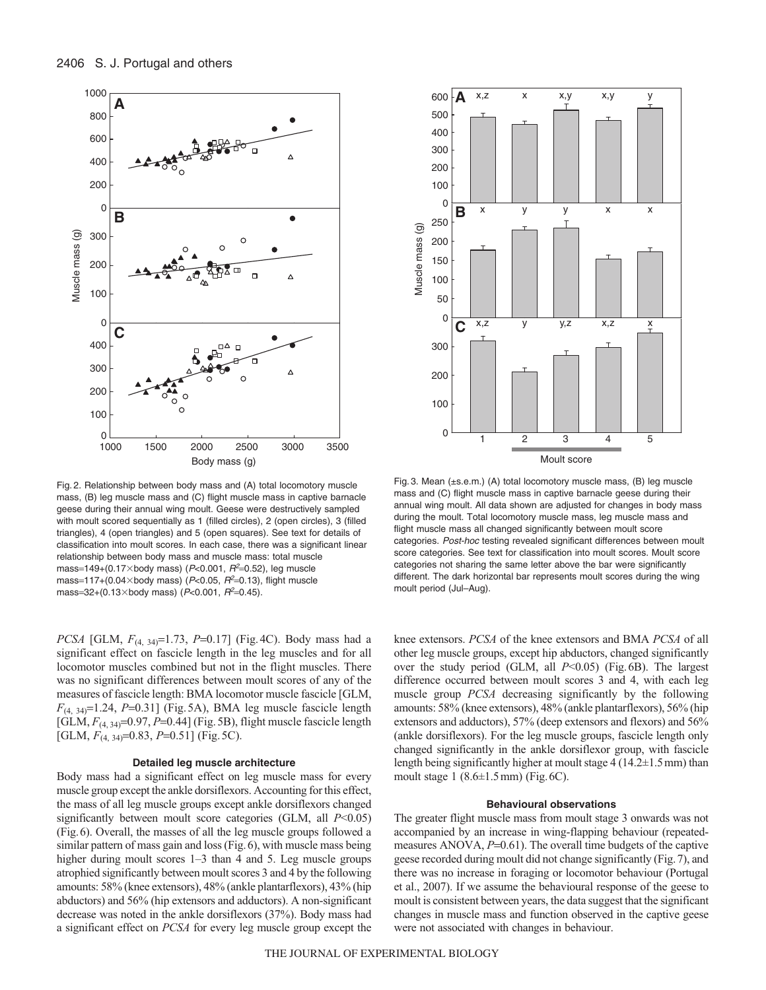

Fig. 2. Relationship between body mass and (A) total locomotory muscle mass, (B) leg muscle mass and (C) flight muscle mass in captive barnacle geese during their annual wing moult. Geese were destructively sampled with moult scored sequentially as 1 (filled circles), 2 (open circles), 3 (filled triangles), 4 (open triangles) and 5 (open squares). See text for details of classification into moult scores. In each case, there was a significant linear relationship between body mass and muscle mass: total muscle mass=149+(0.17×body mass) ( $P$ <0.001,  $R^2$ =0.52), leg muscle mass=117+(0.04 $\times$ body mass) (P<0.05, R<sup>2</sup>=0.13), flight muscle mass=32+(0.13×body mass) ( $P<0.001$ ,  $R<sup>2</sup>=0.45$ ).

*PCSA* [GLM,  $F_{(4, 34)}$ =1.73, *P*=0.17] (Fig.4C). Body mass had a significant effect on fascicle length in the leg muscles and for all locomotor muscles combined but not in the flight muscles. There was no significant differences between moult scores of any of the measures of fascicle length: BMA locomotor muscle fascicle [GLM,  $F_{(4, 34)}$ =1.24, *P*=0.31] (Fig.5A), BMA leg muscle fascicle length [GLM, *F*(4, 34)=0.97, *P*=0.44] (Fig.5B), flight muscle fascicle length [GLM, *F*(4, 34)=0.83, *P*=0.51] (Fig.5C).

# **Detailed leg muscle architecture**

Body mass had a significant effect on leg muscle mass for every muscle group except the ankle dorsiflexors. Accounting for this effect, the mass of all leg muscle groups except ankle dorsiflexors changed significantly between moult score categories (GLM, all *P*<0.05) (Fig.6). Overall, the masses of all the leg muscle groups followed a similar pattern of mass gain and loss (Fig.6), with muscle mass being higher during moult scores 1–3 than 4 and 5. Leg muscle groups atrophied significantly between moult scores 3 and 4 by the following amounts: 58% (knee extensors), 48% (ankle plantarflexors), 43% (hip abductors) and 56% (hip extensors and adductors). A non-significant decrease was noted in the ankle dorsiflexors (37%). Body mass had a significant effect on *PCSA* for every leg muscle group except the



Fig. 3. Mean (±s.e.m.) (A) total locomotory muscle mass, (B) leg muscle mass and (C) flight muscle mass in captive barnacle geese during their annual wing moult. All data shown are adjusted for changes in body mass during the moult. Total locomotory muscle mass, leg muscle mass and flight muscle mass all changed significantly between moult score categories. Post-hoc testing revealed significant differences between moult score categories. See text for classification into moult scores. Moult score categories not sharing the same letter above the bar were significantly different. The dark horizontal bar represents moult scores during the wing moult period (Jul–Aug).

knee extensors. *PCSA* of the knee extensors and BMA *PCSA* of all other leg muscle groups, except hip abductors, changed significantly over the study period (GLM, all *P*<0.05) (Fig.6B). The largest difference occurred between moult scores 3 and 4, with each leg muscle group *PCSA* decreasing significantly by the following amounts: 58% (knee extensors), 48% (ankle plantarflexors), 56% (hip extensors and adductors), 57% (deep extensors and flexors) and 56% (ankle dorsiflexors). For the leg muscle groups, fascicle length only changed significantly in the ankle dorsiflexor group, with fascicle length being significantly higher at moult stage 4 (14.2±1.5mm) than moult stage 1 (8.6±1.5mm) (Fig.6C).

### **Behavioural observations**

The greater flight muscle mass from moult stage 3 onwards was not accompanied by an increase in wing-flapping behaviour (repeatedmeasures ANOVA,  $P=0.61$ ). The overall time budgets of the captive geese recorded during moult did not change significantly (Fig.7), and there was no increase in foraging or locomotor behaviour (Portugal et al., 2007). If we assume the behavioural response of the geese to moult is consistent between years, the data suggest that the significant changes in muscle mass and function observed in the captive geese were not associated with changes in behaviour.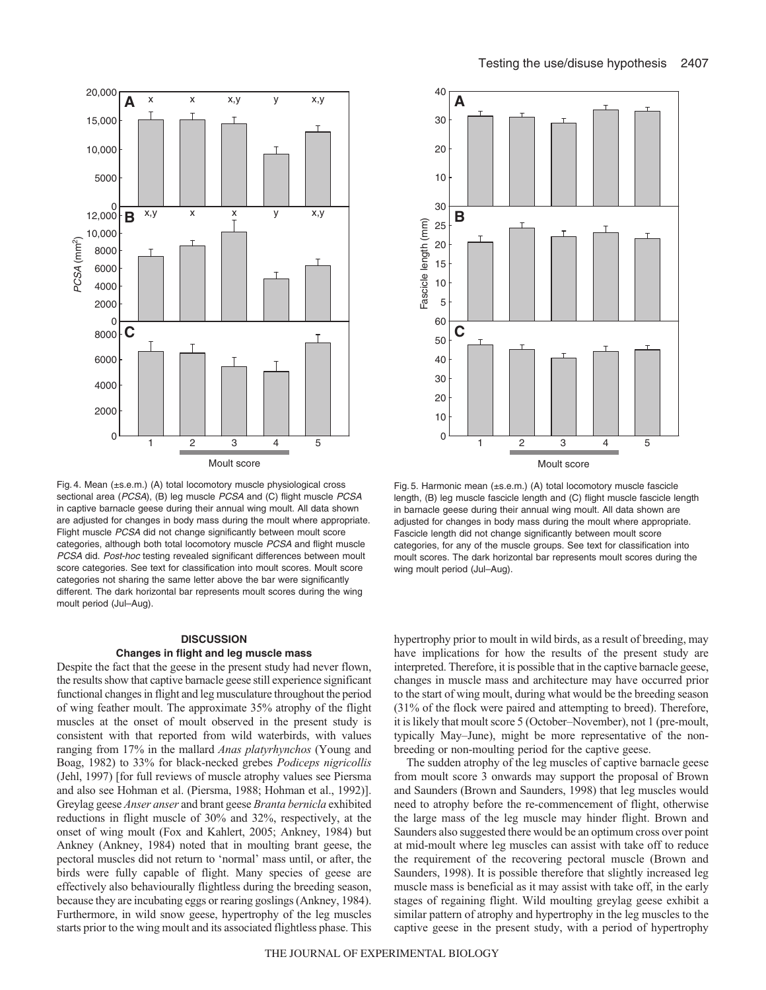

Fig. 4. Mean (±s.e.m.) (A) total locomotory muscle physiological cross sectional area (PCSA), (B) leg muscle PCSA and (C) flight muscle PCSA in captive barnacle geese during their annual wing moult. All data shown are adjusted for changes in body mass during the moult where appropriate. Flight muscle PCSA did not change significantly between moult score categories, although both total locomotory muscle PCSA and flight muscle PCSA did. Post-hoc testing revealed significant differences between moult score categories. See text for classification into moult scores. Moult score categories not sharing the same letter above the bar were significantly different. The dark horizontal bar represents moult scores during the wing moult period (Jul–Aug).

# **DISCUSSION**

# **Changes in flight and leg muscle mass**

Despite the fact that the geese in the present study had never flown, the results show that captive barnacle geese still experience significant functional changes in flight and leg musculature throughout the period of wing feather moult. The approximate 35% atrophy of the flight muscles at the onset of moult observed in the present study is consistent with that reported from wild waterbirds, with values ranging from 17% in the mallard *Anas platyrhynchos* (Young and Boag, 1982) to 33% for black-necked grebes *Podiceps nigricollis* (Jehl, 1997) [for full reviews of muscle atrophy values see Piersma and also see Hohman et al. (Piersma, 1988; Hohman et al., 1992)]. Greylag geese *Anser anser* and brant geese *Branta bernicla* exhibited reductions in flight muscle of 30% and 32%, respectively, at the onset of wing moult (Fox and Kahlert, 2005; Ankney, 1984) but Ankney (Ankney, 1984) noted that in moulting brant geese, the pectoral muscles did not return to 'normal' mass until, or after, the birds were fully capable of flight. Many species of geese are effectively also behaviourally flightless during the breeding season, because they are incubating eggs or rearing goslings (Ankney, 1984). Furthermore, in wild snow geese, hypertrophy of the leg muscles starts prior to the wing moult and its associated flightless phase. This



Fig. 5. Harmonic mean (±s.e.m.) (A) total locomotory muscle fascicle length, (B) leg muscle fascicle length and (C) flight muscle fascicle length in barnacle geese during their annual wing moult. All data shown are adjusted for changes in body mass during the moult where appropriate. Fascicle length did not change significantly between moult score categories, for any of the muscle groups. See text for classification into moult scores. The dark horizontal bar represents moult scores during the wing moult period (Jul–Aug).

hypertrophy prior to moult in wild birds, as a result of breeding, may have implications for how the results of the present study are interpreted. Therefore, it is possible that in the captive barnacle geese, changes in muscle mass and architecture may have occurred prior to the start of wing moult, during what would be the breeding season (31% of the flock were paired and attempting to breed). Therefore, it is likely that moult score 5 (October–November), not 1 (pre-moult, typically May–June), might be more representative of the nonbreeding or non-moulting period for the captive geese.

The sudden atrophy of the leg muscles of captive barnacle geese from moult score 3 onwards may support the proposal of Brown and Saunders (Brown and Saunders, 1998) that leg muscles would need to atrophy before the re-commencement of flight, otherwise the large mass of the leg muscle may hinder flight. Brown and Saunders also suggested there would be an optimum cross over point at mid-moult where leg muscles can assist with take off to reduce the requirement of the recovering pectoral muscle (Brown and Saunders, 1998). It is possible therefore that slightly increased leg muscle mass is beneficial as it may assist with take off, in the early stages of regaining flight. Wild moulting greylag geese exhibit a similar pattern of atrophy and hypertrophy in the leg muscles to the captive geese in the present study, with a period of hypertrophy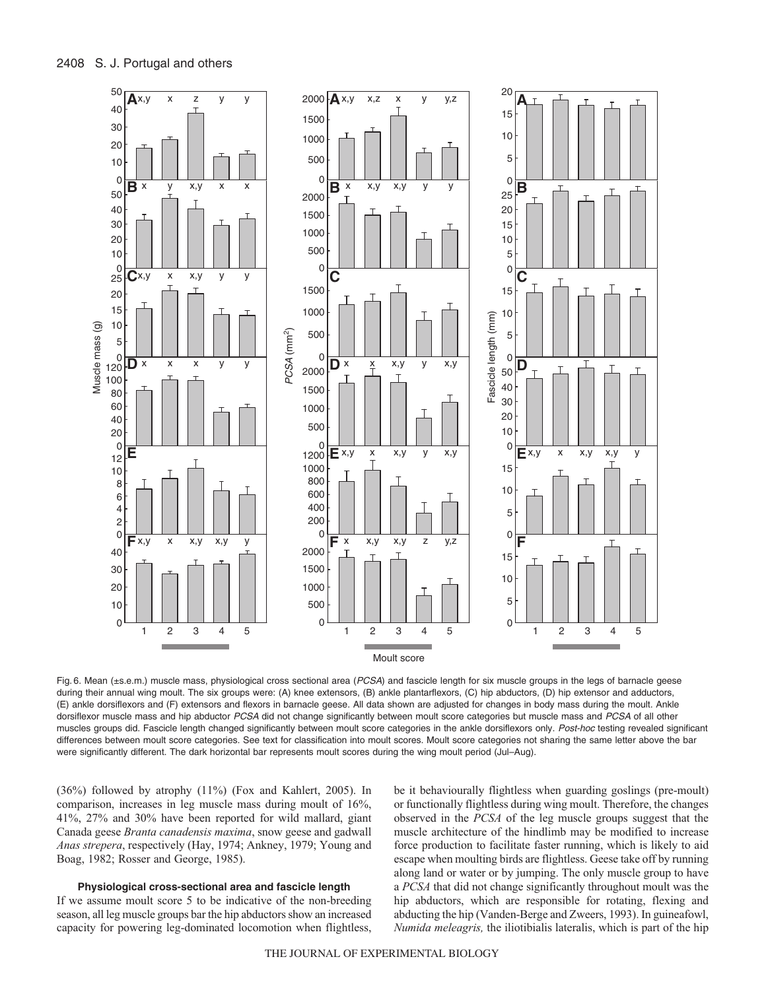

Fig. 6. Mean (±s.e.m.) muscle mass, physiological cross sectional area (PCSA) and fascicle length for six muscle groups in the legs of barnacle geese during their annual wing moult. The six groups were: (A) knee extensors, (B) ankle plantarflexors, (C) hip abductors, (D) hip extensor and adductors, (E) ankle dorsiflexors and (F) extensors and flexors in barnacle geese. All data shown are adjusted for changes in body mass during the moult. Ankle dorsiflexor muscle mass and hip abductor PCSA did not change significantly between moult score categories but muscle mass and PCSA of all other muscles groups did. Fascicle length changed significantly between moult score categories in the ankle dorsiflexors only. Post-hoc testing revealed significant differences between moult score categories. See text for classification into moult scores. Moult score categories not sharing the same letter above the bar were significantly different. The dark horizontal bar represents moult scores during the wing moult period (Jul–Aug).

(36%) followed by atrophy (11%) (Fox and Kahlert, 2005). In comparison, increases in leg muscle mass during moult of 16%, 41%, 27% and 30% have been reported for wild mallard, giant Canada geese *Branta canadensis maxima*, snow geese and gadwall *Anas strepera*, respectively (Hay, 1974; Ankney, 1979; Young and Boag, 1982; Rosser and George, 1985).

# **Physiological cross-sectional area and fascicle length**

If we assume moult score 5 to be indicative of the non-breeding season, all leg muscle groups bar the hip abductors show an increased capacity for powering leg-dominated locomotion when flightless, be it behaviourally flightless when guarding goslings (pre-moult) or functionally flightless during wing moult. Therefore, the changes observed in the *PCSA* of the leg muscle groups suggest that the muscle architecture of the hindlimb may be modified to increase force production to facilitate faster running, which is likely to aid escape when moulting birds are flightless. Geese take off by running along land or water or by jumping. The only muscle group to have a *PCSA* that did not change significantly throughout moult was the hip abductors, which are responsible for rotating, flexing and abducting the hip (Vanden-Berge and Zweers, 1993). In guineafowl, *Numida meleagris,* the iliotibialis lateralis, which is part of the hip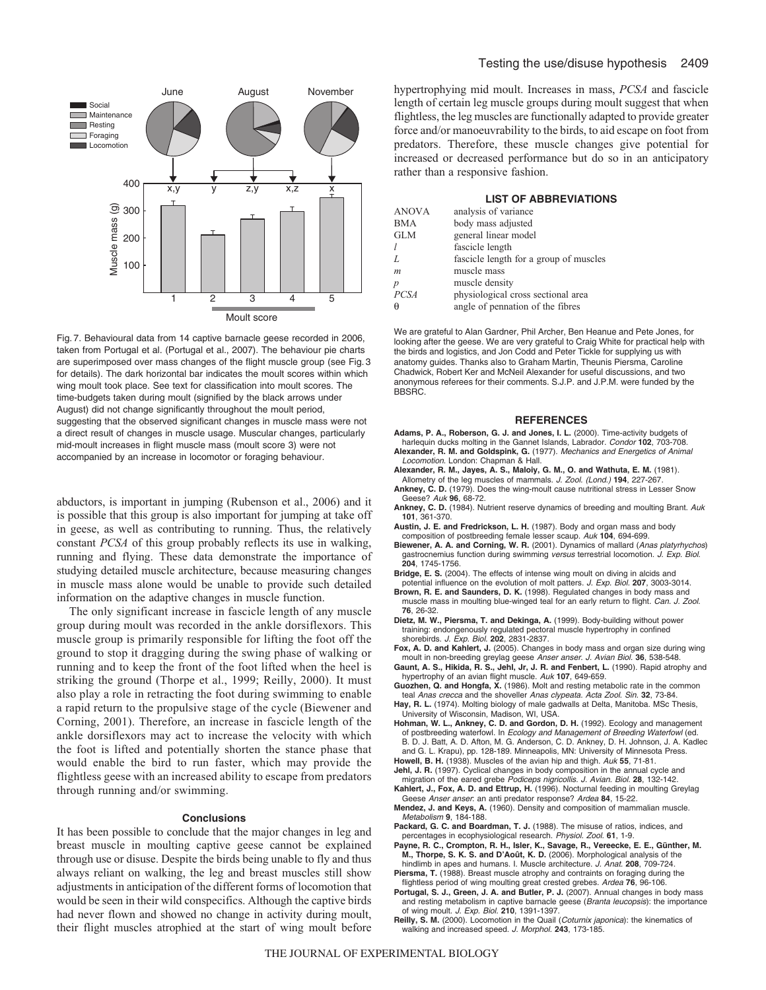

Fig. 7. Behavioural data from 14 captive barnacle geese recorded in 2006, taken from Portugal et al. (Portugal et al., 2007). The behaviour pie charts are superimposed over mass changes of the flight muscle group (see Fig. 3 for details). The dark horizontal bar indicates the moult scores within which wing moult took place. See text for classification into moult scores. The time-budgets taken during moult (signified by the black arrows under August) did not change significantly throughout the moult period, suggesting that the observed significant changes in muscle mass were not a direct result of changes in muscle usage. Muscular changes, particularly mid-moult increases in flight muscle mass (moult score 3) were not accompanied by an increase in locomotor or foraging behaviour.

abductors, is important in jumping (Rubenson et al., 2006) and it is possible that this group is also important for jumping at take off in geese, as well as contributing to running. Thus, the relatively constant *PCSA* of this group probably reflects its use in walking, running and flying. These data demonstrate the importance of studying detailed muscle architecture, because measuring changes in muscle mass alone would be unable to provide such detailed information on the adaptive changes in muscle function.

The only significant increase in fascicle length of any muscle group during moult was recorded in the ankle dorsiflexors. This muscle group is primarily responsible for lifting the foot off the ground to stop it dragging during the swing phase of walking or running and to keep the front of the foot lifted when the heel is striking the ground (Thorpe et al., 1999; Reilly, 2000). It must also play a role in retracting the foot during swimming to enable a rapid return to the propulsive stage of the cycle (Biewener and Corning, 2001). Therefore, an increase in fascicle length of the ankle dorsiflexors may act to increase the velocity with which the foot is lifted and potentially shorten the stance phase that would enable the bird to run faster, which may provide the flightless geese with an increased ability to escape from predators through running and/or swimming.

#### **Conclusions**

It has been possible to conclude that the major changes in leg and breast muscle in moulting captive geese cannot be explained through use or disuse. Despite the birds being unable to fly and thus always reliant on walking, the leg and breast muscles still show adjustments in anticipation of the different forms of locomotion that would be seen in their wild conspecifics. Although the captive birds had never flown and showed no change in activity during moult, their flight muscles atrophied at the start of wing moult before

hypertrophying mid moult. Increases in mass, *PCSA* and fascicle length of certain leg muscle groups during moult suggest that when flightless, the leg muscles are functionally adapted to provide greater force and/or manoeuvrability to the birds, to aid escape on foot from predators. Therefore, these muscle changes give potential for increased or decreased performance but do so in an anticipatory rather than a responsive fashion.

# **LIST OF ABBREVIATIONS**

| <b>ANOVA</b>     | analysis of variance                   |
|------------------|----------------------------------------|
| <b>BMA</b>       | body mass adjusted                     |
| <b>GLM</b>       | general linear model                   |
|                  | fascicle length                        |
| L                | fascicle length for a group of muscles |
| m                | muscle mass                            |
| $\boldsymbol{p}$ | muscle density                         |
| <b>PCSA</b>      | physiological cross sectional area     |
| A                | angle of pennation of the fibres       |

We are grateful to Alan Gardner, Phil Archer, Ben Heanue and Pete Jones, for looking after the geese. We are very grateful to Craig White for practical help with the birds and logistics, and Jon Codd and Peter Tickle for supplying us with anatomy guides. Thanks also to Graham Martin, Theunis Piersma, Caroline Chadwick, Robert Ker and McNeil Alexander for useful discussions, and two anonymous referees for their comments. S.J.P. and J.P.M. were funded by the BBSRC.

#### **REFERENCES**

- **Adams, P. A., Roberson, G. J. and Jones, I. L.** (2000). Time-activity budgets of harlequin ducks molting in the Gannet Islands, Labrador. Condor **102**, 703-708. **Alexander, R. M. and Goldspink, G.** (1977). Mechanics and Energetics of Animal Locomotion. London: Chapman & Hall.
- **Alexander, R. M., Jayes, A. S., Maloiy, G. M., O. and Wathuta, E. M.** (1981). Allometry of the leg muscles of mammals. J. Zool. (Lond.) **194**, 227-267.
- **Ankney, C. D.** (1979). Does the wing-moult cause nutritional stress in Lesser Snow Geese? Auk **96**, 68-72.
- **Ankney, C. D.** (1984). Nutrient reserve dynamics of breeding and moulting Brant. Auk **101**, 361-370.
- **Austin, J. E. and Fredrickson, L. H.** (1987). Body and organ mass and body
- composition of postbreeding female lesser scaup. Auk **104**, 694-699. **Biewener, A. A. and Corning, W. R.** (2001). Dynamics of mallard (Anas platyrhychos) gastrocnemius function during swimming versus terrestrial locomotion. J. Exp. Biol. **204**, 1745-1756.
- **Bridge, E. S.** (2004). The effects of intense wing moult on diving in alcids and potential influence on the evolution of molt patters. J. Exp. Biol. **207**, 3003-3014.
- **Brown, R. E. and Saunders, D. K.** (1998). Regulated changes in body mass and muscle mass in moulting blue-winged teal for an early return to flight. Can. J. Zool. **76**, 26-32.
- **Dietz, M. W., Piersma, T. and Dekinga, A.** (1999). Body-building without power training: endongenously regulated pectoral muscle hypertrophy in confined shorebirds. J. Exp. Biol. **202**, 2831-2837.
- **Fox, A. D. and Kahlert, J.** (2005). Changes in body mass and organ size during wing moult in non-breeding greylag geese Anser anser. J. Avian Biol. **36**, 538-548.
- **Gaunt, A. S., Hikida, R. S., Jehl, Jr, J. R. and Fenbert, L.** (1990). Rapid atrophy and hypertrophy of an avian flight muscle. Auk **107**, 649-659.
- **Guozhen, Q. and Hongfa, X.** (1986). Molt and resting metabolic rate in the common teal Anas crecca and the shoveller Anas clypeata. Acta Zool. Sin. **32**, 73-84.
- **Hay, R. L.** (1974). Molting biology of male gadwalls at Delta, Manitoba. MSc Thesis, University of Wisconsin, Madison, WI, USA.
- **Hohman, W. L., Ankney, C. D. and Gordon, D. H.** (1992). Ecology and management of postbreeding waterfowl. In Ecology and Management of Breeding Waterfowl (ed. B. D. J. Batt, A. D. Afton, M. G. Anderson, C. D. Ankney, D. H. Johnson, J. A. Kadlec and G. L. Krapu), pp. 128-189. Minneapolis, MN: University of Minnesota Press.
- **Howell, B. H.** (1938). Muscles of the avian hip and thigh. Auk **55**, 71-81. **Jehl, J. R.** (1997). Cyclical changes in body composition in the annual cycle and
- migration of the eared grebe Podiceps nigricollis. J. Avian. Biol. **28**, 132-142. **Kahlert, J., Fox, A. D. and Ettrup, H.** (1996). Nocturnal feeding in moulting Greylag
- Geese Anser anser: an anti predator response? Ardea **84**, 15-22. **Mendez, J. and Keys, A.** (1960). Density and composition of mammalian muscle. Metabolism **9**, 184-188.
- **Packard, G. C. and Boardman, T. J.** (1988). The misuse of ratios, indices, and percentages in ecophysiological research. Physiol. Zool. **61**, 1-9.
- **Payne, R. C., Crompton, R. H., Isler, K., Savage, R., Vereecke, E. E., Günther, M. M., Thorpe, S. K. S. and D'Août, K. D.** (2006). Morphological analysis of the hindlimb in apes and humans. I. Muscle architecture. J. Anat. **208**, 709-724.
- **Piersma, T.** (1988). Breast muscle atrophy and contraints on foraging during the flightless period of wing moulting great crested grebes. Ardea **76**, 96-106.
- **Portugal, S. J., Green, J. A. and Butler, P. J.** (2007). Annual changes in body mass and resting metabolism in captive barnacle geese (Branta leucopsis): the importance of wing moult. J. Exp. Biol. **210**, 1391-1397.
- Reilly, S. M. (2000). Locomotion in the Quail (Coturnix japonica): the kinematics of walking and increased speed. J. Morphol. **243**, 173-185.